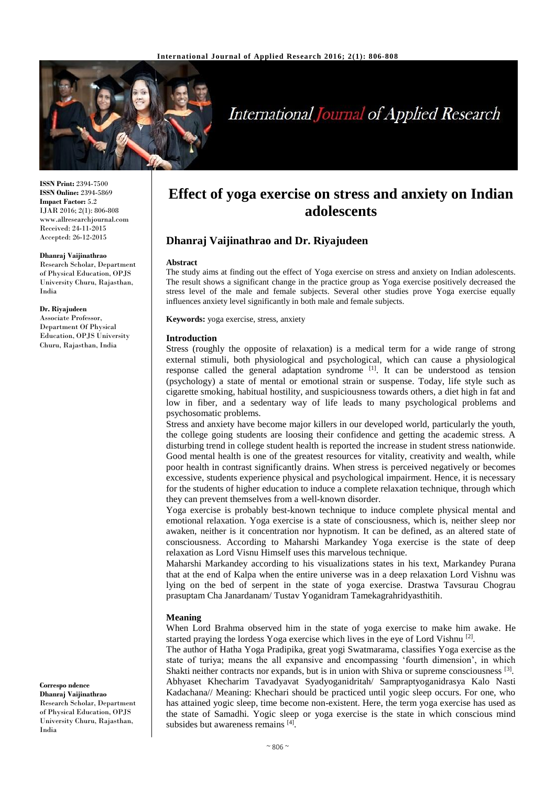

# **International Journal of Applied Research**

**ISSN Print:** 2394-7500 **ISSN Online:** 2394-5869 **Impact Factor:** 5.2 IJAR 2016; 2(1): 806-808 www.allresearchjournal.com Received: 24-11-2015 Accepted: 26-12-2015

#### **Dhanraj Vaijinathrao**

Research Scholar, Department of Physical Education, OPJS University Churu, Rajasthan, India

**Dr. Riyajudeen** Associate Professor,

Department Of Physical Education, OPJS University Churu, Rajasthan, India

#### **Correspo ndence**

**Dhanraj Vaijinathrao** Research Scholar, Department of Physical Education, OPJS University Churu, Rajasthan, India

# **Effect of yoga exercise on stress and anxiety on Indian adolescents**

# **Dhanraj Vaijinathrao and Dr. Riyajudeen**

#### **Abstract**

The study aims at finding out the effect of Yoga exercise on stress and anxiety on Indian adolescents. The result shows a significant change in the practice group as Yoga exercise positively decreased the stress level of the male and female subjects. Several other studies prove Yoga exercise equally influences anxiety level significantly in both male and female subjects.

**Keywords:** yoga exercise, stress, anxiety

#### **Introduction**

Stress (roughly the opposite of relaxation) is a medical term for a wide range of strong external stimuli, both physiological and psychological, which can cause a physiological response called the general adaptation syndrome [1]. It can be understood as tension (psychology) a state of mental or emotional strain or suspense. Today, life style such as cigarette smoking, habitual hostility, and suspiciousness towards others, a diet high in fat and low in fiber, and a sedentary way of life leads to many psychological problems and psychosomatic problems.

Stress and anxiety have become major killers in our developed world, particularly the youth, the college going students are loosing their confidence and getting the academic stress. A disturbing trend in college student health is reported the increase in student stress nationwide. Good mental health is one of the greatest resources for vitality, creativity and wealth, while poor health in contrast significantly drains. When stress is perceived negatively or becomes excessive, students experience physical and psychological impairment. Hence, it is necessary for the students of higher education to induce a complete relaxation technique, through which they can prevent themselves from a well-known disorder.

Yoga exercise is probably best-known technique to induce complete physical mental and emotional relaxation. Yoga exercise is a state of consciousness, which is, neither sleep nor awaken, neither is it concentration nor hypnotism. It can be defined, as an altered state of consciousness. According to Maharshi Markandey Yoga exercise is the state of deep relaxation as Lord Visnu Himself uses this marvelous technique.

Maharshi Markandey according to his visualizations states in his text, Markandey Purana that at the end of Kalpa when the entire universe was in a deep relaxation Lord Vishnu was lying on the bed of serpent in the state of yoga exercise. Drastwa Tavsurau Chograu prasuptam Cha Janardanam/ Tustav Yoganidram Tamekagrahridyasthitih.

#### **Meaning**

When Lord Brahma observed him in the state of yoga exercise to make him awake. He started praying the lordess Yoga exercise which lives in the eye of Lord Vishnu<sup>[2]</sup>.

The author of Hatha Yoga Pradipika, great yogi Swatmarama, classifies Yoga exercise as the state of turiya; means the all expansive and encompassing 'fourth dimension', in which Shakti neither contracts nor expands, but is in union with Shiva or supreme consciousness [3]. Abhyaset Khecharim Tavadyavat Syadyoganidritah/ Sampraptyoganidrasya Kalo Nasti Kadachana// Meaning: Khechari should be practiced until yogic sleep occurs. For one, who has attained yogic sleep, time become non-existent. Here, the term yoga exercise has used as the state of Samadhi. Yogic sleep or yoga exercise is the state in which conscious mind subsides but awareness remains [4].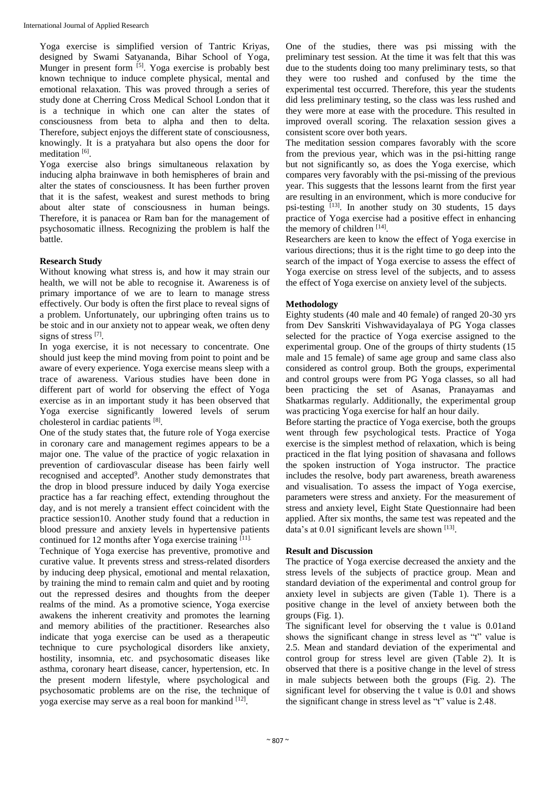Yoga exercise is simplified version of Tantric Kriyas, designed by Swami Satyananda, Bihar School of Yoga, Munger in present form <sup>[5]</sup>. Yoga exercise is probably best known technique to induce complete physical, mental and emotional relaxation. This was proved through a series of study done at Cherring Cross Medical School London that it is a technique in which one can alter the states of consciousness from beta to alpha and then to delta. Therefore, subject enjoys the different state of consciousness, knowingly. It is a pratyahara but also opens the door for meditation<sup>[6]</sup>.

Yoga exercise also brings simultaneous relaxation by inducing alpha brainwave in both hemispheres of brain and alter the states of consciousness. It has been further proven that it is the safest, weakest and surest methods to bring about alter state of consciousness in human beings. Therefore, it is panacea or Ram ban for the management of psychosomatic illness. Recognizing the problem is half the battle.

# **Research Study**

Without knowing what stress is, and how it may strain our health, we will not be able to recognise it. Awareness is of primary importance of we are to learn to manage stress effectively. Our body is often the first place to reveal signs of a problem. Unfortunately, our upbringing often trains us to be stoic and in our anxiety not to appear weak, we often deny signs of stress [7].

In yoga exercise, it is not necessary to concentrate. One should just keep the mind moving from point to point and be aware of every experience. Yoga exercise means sleep with a trace of awareness. Various studies have been done in different part of world for observing the effect of Yoga exercise as in an important study it has been observed that Yoga exercise significantly lowered levels of serum cholesterol in cardiac patients [8].

One of the study states that, the future role of Yoga exercise in coronary care and management regimes appears to be a major one. The value of the practice of yogic relaxation in prevention of cardiovascular disease has been fairly well recognised and accepted<sup>9</sup>. Another study demonstrates that the drop in blood pressure induced by daily Yoga exercise practice has a far reaching effect, extending throughout the day, and is not merely a transient effect coincident with the practice session10. Another study found that a reduction in blood pressure and anxiety levels in hypertensive patients continued for 12 months after Yoga exercise training  $[11]$ .

Technique of Yoga exercise has preventive, promotive and curative value. It prevents stress and stress-related disorders by inducing deep physical, emotional and mental relaxation, by training the mind to remain calm and quiet and by rooting out the repressed desires and thoughts from the deeper realms of the mind. As a promotive science, Yoga exercise awakens the inherent creativity and promotes the learning and memory abilities of the practitioner. Researches also indicate that yoga exercise can be used as a therapeutic technique to cure psychological disorders like anxiety, hostility, insomnia, etc. and psychosomatic diseases like asthma, coronary heart disease, cancer, hypertension, etc. In the present modern lifestyle, where psychological and psychosomatic problems are on the rise, the technique of yoga exercise may serve as a real boon for mankind [12].

One of the studies, there was psi missing with the preliminary test session. At the time it was felt that this was due to the students doing too many preliminary tests, so that they were too rushed and confused by the time the experimental test occurred. Therefore, this year the students did less preliminary testing, so the class was less rushed and they were more at ease with the procedure. This resulted in improved overall scoring. The relaxation session gives a consistent score over both years.

The meditation session compares favorably with the score from the previous year, which was in the psi-hitting range but not significantly so, as does the Yoga exercise, which compares very favorably with the psi-missing of the previous year. This suggests that the lessons learnt from the first year are resulting in an environment, which is more conducive for psi-testing [13]. In another study on 30 students, 15 days practice of Yoga exercise had a positive effect in enhancing the memory of children  $[14]$ .

Researchers are keen to know the effect of Yoga exercise in various directions; thus it is the right time to go deep into the search of the impact of Yoga exercise to assess the effect of Yoga exercise on stress level of the subjects, and to assess the effect of Yoga exercise on anxiety level of the subjects.

## **Methodology**

Eighty students (40 male and 40 female) of ranged 20-30 yrs from Dev Sanskriti Vishwavidayalaya of PG Yoga classes selected for the practice of Yoga exercise assigned to the experimental group. One of the groups of thirty students (15 male and 15 female) of same age group and same class also considered as control group. Both the groups, experimental and control groups were from PG Yoga classes, so all had been practicing the set of Asanas, Pranayamas and Shatkarmas regularly. Additionally, the experimental group was practicing Yoga exercise for half an hour daily.

Before starting the practice of Yoga exercise, both the groups went through few psychological tests. Practice of Yoga exercise is the simplest method of relaxation, which is being practiced in the flat lying position of shavasana and follows the spoken instruction of Yoga instructor. The practice includes the resolve, body part awareness, breath awareness and visualisation. To assess the impact of Yoga exercise, parameters were stress and anxiety. For the measurement of stress and anxiety level, Eight State Questionnaire had been applied. After six months, the same test was repeated and the data's at  $0.01$  significant levels are shown  $^{[13]}$ .

## **Result and Discussion**

The practice of Yoga exercise decreased the anxiety and the stress levels of the subjects of practice group. Mean and standard deviation of the experimental and control group for anxiety level in subjects are given (Table 1). There is a positive change in the level of anxiety between both the groups (Fig. 1).

The significant level for observing the t value is 0.01and shows the significant change in stress level as "t" value is 2.5. Mean and standard deviation of the experimental and control group for stress level are given (Table 2). It is observed that there is a positive change in the level of stress in male subjects between both the groups (Fig. 2). The significant level for observing the t value is 0.01 and shows the significant change in stress level as "t" value is 2.48.